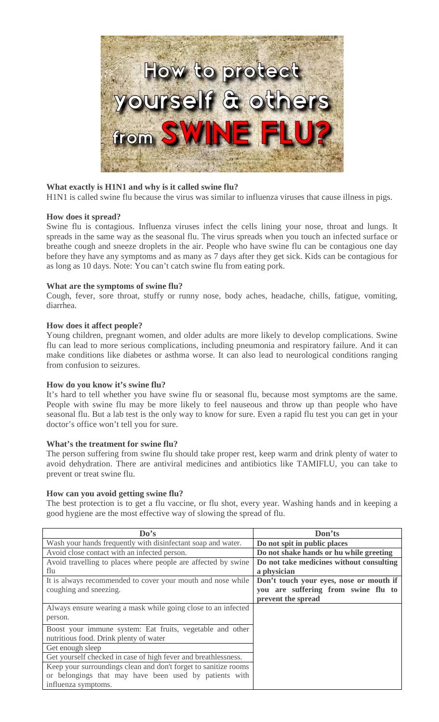

## **What exactly is H1N1 and why is it called swine flu?**

H1N1 is called swine flu because the virus was similar to influenza viruses that cause illness in pigs.

## **How does it spread?**

Swine flu is contagious. Influenza viruses infect the cells lining your nose, throat and lungs. It spreads in the same way as the seasonal flu. The virus spreads when you touch an infected surface or breathe cough and sneeze droplets in the air. People who have swine flu can be contagious one day before they have any symptoms and as many as 7 days after they get sick. Kids can be contagious for as long as 10 days. Note: You can't catch swine flu from eating pork.

## **What are the symptoms of swine flu?**

Cough, fever, sore throat, stuffy or runny nose, body aches, headache, chills, fatigue, vomiting, diarrhea.

## **How does it affect people?**

Young children, pregnant women, and older adults are more likely to develop complications. Swine flu can lead to more serious complications, including pneumonia and respiratory failure. And it can make conditions like diabetes or asthma worse. It can also lead to neurological conditions ranging from confusion to seizures.

## **How do you know it's swine flu?**

It's hard to tell whether you have swine flu or seasonal flu, because most symptoms are the same. People with swine flu may be more likely to feel nauseous and throw up than people who have seasonal flu. But a lab test is the only way to know for sure. Even a rapid flu test you can get in your doctor's office won't tell you for sure.

## **What's the treatment for swine flu?**

The person suffering from swine flu should take proper rest, keep warm and drink plenty of water to avoid dehydration. There are antiviral medicines and antibiotics like TAMIFLU, you can take to prevent or treat swine flu.

## **How can you avoid getting swine flu?**

The best protection is to get a flu vaccine, or flu shot, every year. Washing hands and in keeping a good hygiene are the most effective way of slowing the spread of flu.

| Do's                                                            | Don'ts                                   |
|-----------------------------------------------------------------|------------------------------------------|
| Wash your hands frequently with disinfectant soap and water.    | Do not spit in public places             |
| Avoid close contact with an infected person.                    | Do not shake hands or hu while greeting  |
| Avoid travelling to places where people are affected by swine   | Do not take medicines without consulting |
| flu                                                             | a physician                              |
| It is always recommended to cover your mouth and nose while     | Don't touch your eyes, nose or mouth if  |
| coughing and sneezing.                                          | you are suffering from swine flu to      |
|                                                                 | prevent the spread                       |
| Always ensure wearing a mask while going close to an infected   |                                          |
| person.                                                         |                                          |
| Boost your immune system: Eat fruits, vegetable and other       |                                          |
| nutritious food. Drink plenty of water                          |                                          |
| Get enough sleep                                                |                                          |
| Get yourself checked in case of high fever and breathlessness.  |                                          |
| Keep your surroundings clean and don't forget to sanitize rooms |                                          |
| or belongings that may have been used by patients with          |                                          |
| influenza symptoms.                                             |                                          |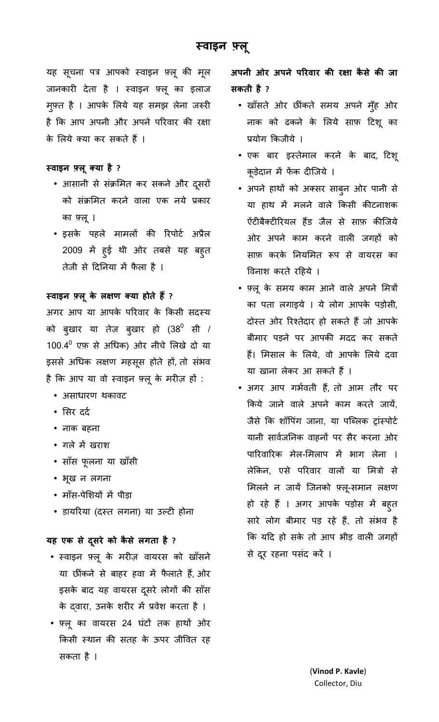यह सूचना पत्र आपको स्वाइन फ़्लू की मूल जानकारी देता है । स्वाइन फ़्लू का इलाज मुफ़्त है । आपके लिये यह समझ लेना जरुरी है कि आप अपनी और अपने परिवार की रक्षा के लिये क्या कर सकते हैं ।

# **वाइन लू या है ?**

- आसानी से संक्रमित कर सकने और दूसरों को संक्रमित करने वाला एक नये प्रकार का लू ।
- इसके पहले मामलों की रिपोर्ट अप्रैल 2009 में हुई थी ओर तबसे यह बहुत तेजी से दिनिया में फैला है ।

# स्वाइन फ़्लू के लक्षण क्या होते हैं ?

अगर आप या आपके परिवार के किसी सदस्य को बुखार या तेज़ बुखार हो (38<sup>0</sup> सी / 100.4 $^{\rm 0}$  एफ़ से अधिक) ओर नीचे लिखे दो या इससे अधिक लक्षण महसूस होते हों, तो संभव है कि आप या वो स्वाइन फ़्लू के मरीज़ हों :

- असाधारण थकावट
- सिर दर्द
- नाक बहना
- गले में खराश
- साँस फूलना या खाँसी
- भूख न लगना
- माँस-पेशियों में पीड़ा
- डायरिया (दस्त लगना) या उल्टी होना

# **यह एक से दसरे को कै से लगता है ू ?**

- वाइन लू के मरज़ वायरस को खाँसने या छींकने से बाहर हवा में फैलाते हैं, ओर इसके बाद यह वायरस दूसरे लोगों की साँस के द्वारा, उनके शरीर में प्रवेश करता है ।
- फ़्लू का वायरस 24 घंटों तक हाथों ओर किसी स्थान की सतह के ऊपर जीवित रह सकता है ।

अपनी ओर अपने परिवार की रक्षा कैसे की **जा सकती है ?** 

- खाँसते ओर छTंकते समय अपने मँुह ओर नाक को ढकने के लये साफ़ 8टशू का प्रयोग किजीये ।
- एक बार इतेमाल करने के बाद, 8टशू कूड़ेदान में फेंक दीजिये ।
- अपने हाथों को अक्सर साब्न ओर पानी से या हाथ में मलने वाले किसी कीटनाशक ऐंटीबैक्टीरियल हैंड जैल से साफ़ कीजिये ओर अपने काम करने वाली जगहों को साफ़ करके नियमित रूप से वायरस का विनाश करते रहिये ।
- लू के समय काम आने वाले अपने म + का पता लगाइये । ये लोग आपके पड़ोसी, दोस्त ओर रिश्तेदार हो सकते हैं जो आपके बीमार पड़ने पर आपकी मदद कर सकते हैं। मिसाल के लिये, वो आपके लिये दवा या खाना लेकर आ सकते हैं ।
- अगर आप गर्भवती हैं, तो आम तौर पर किये जाने वाले अपने काम करते जायें, जैसे कि शॉपिंग जाना, या पब्लिक ट्रांस्पोर्ट यानी सार्वजनिक वाहनों पर सैर करना ओर पारिवारिक मेल-मिलाप में भाग लेना । लेकिन, एसे परिवार वालो या मित्रों से मिलने न जायें जिनको फ़्लू-समान लक्षण हो रहे हैं । अगर आपके पड़ोस में बह़्त सारे लोग बीमार पड़ रहे हैं, तो संभव है कि यदि हो सके तो आप भीड़ वाली जगहों से दूर रहना पसंद करें ।